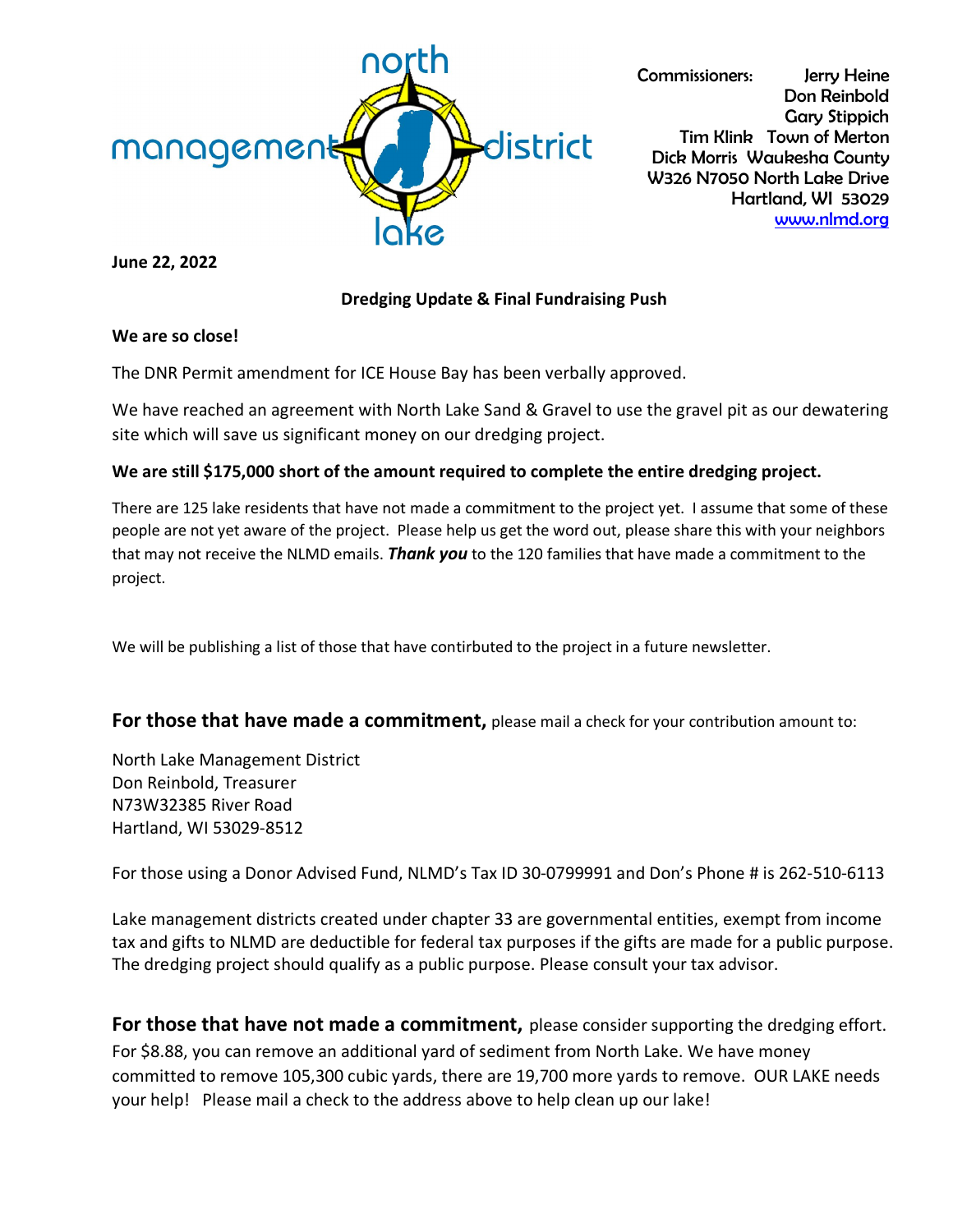

Commissioners: Jerry Heine Don Reinbold Gary Stippich Tim Klink Town of Merton Dick Morris Waukesha County W326 N7050 North Lake Drive Hartland, WI 53029 [www.nlmd.org](http://www.nlmd.org/)

**June 22, 2022**

## **Dredging Update & Final Fundraising Push**

#### **We are so close!**

The DNR Permit amendment for ICE House Bay has been verbally approved.

We have reached an agreement with North Lake Sand & Gravel to use the gravel pit as our dewatering site which will save us significant money on our dredging project.

### **We are still \$175,000 short of the amount required to complete the entire dredging project.**

There are 125 lake residents that have not made a commitment to the project yet. I assume that some of these people are not yet aware of the project. Please help us get the word out, please share this with your neighbors that may not receive the NLMD emails. *Thank you* to the 120 families that have made a commitment to the project.

We will be publishing a list of those that have contirbuted to the project in a future newsletter.

## **For those that have made a commitment,** please mail a check for your contribution amount to:

North Lake Management District Don Reinbold, Treasurer N73W32385 River Road Hartland, WI 53029-8512

For those using a Donor Advised Fund, NLMD's Tax ID 30-0799991 and Don's Phone # is 262-510-6113

Lake management districts created under chapter 33 are governmental entities, exempt from income tax and gifts to NLMD are deductible for federal tax purposes if the gifts are made for a public purpose. The dredging project should qualify as a public purpose. Please consult your tax advisor.

**For those that have not made a commitment,** please consider supporting the dredging effort. For \$8.88, you can remove an additional yard of sediment from North Lake. We have money committed to remove 105,300 cubic yards, there are 19,700 more yards to remove. OUR LAKE needs your help! Please mail a check to the address above to help clean up our lake!